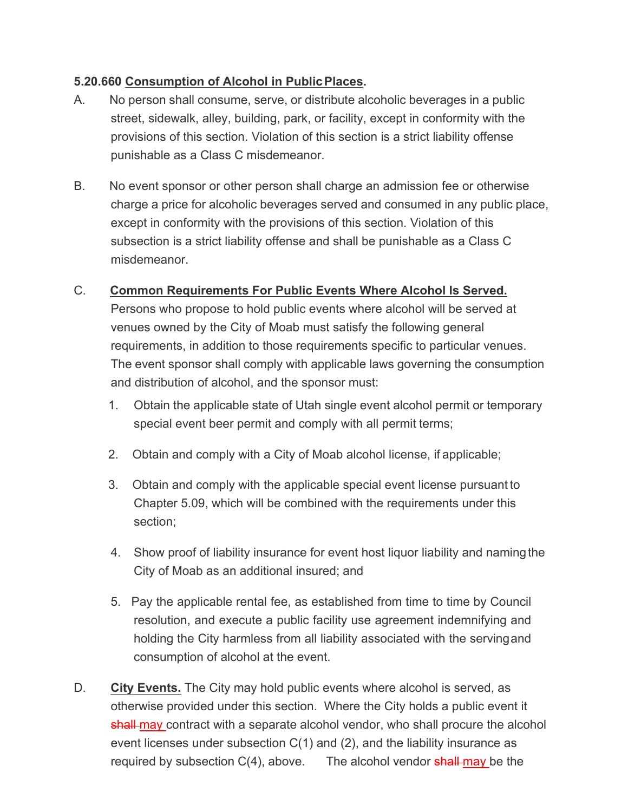## **5.20.660 Consumption of Alcohol in PublicPlaces.**

- A. No person shall consume, serve, or distribute alcoholic beverages in a public street, sidewalk, alley, building, park, or facility, except in conformity with the provisions of this section. Violation of this section is a strict liability offense punishable as a Class C misdemeanor.
- B. No event sponsor or other person shall charge an admission fee or otherwise charge a price for alcoholic beverages served and consumed in any public place, except in conformity with the provisions of this section. Violation of this subsection is a strict liability offense and shall be punishable as a Class C misdemeanor.

## C. **Common Requirements For Public Events Where Alcohol Is Served.**

Persons who propose to hold public events where alcohol will be served at venues owned by the City of Moab must satisfy the following general requirements, in addition to those requirements specific to particular venues. The event sponsor shall comply with applicable laws governing the consumption and distribution of alcohol, and the sponsor must:

- 1. Obtain the applicable state of Utah single event alcohol permit or temporary special event beer permit and comply with all permit terms;
- 2. Obtain and comply with a City of Moab alcohol license, if applicable;
- 3. Obtain and comply with the applicable special event license pursuant to Chapter 5.09, which will be combined with the requirements under this section;
- 4. Show proof of liability insurance for event host liquor liability and naming the City of Moab as an additional insured; and
- 5. Pay the applicable rental fee, as established from time to time by Council resolution, and execute a public facility use agreement indemnifying and holding the City harmless from all liability associated with the servingand consumption of alcohol at the event.
- D. **City Events.** The City may hold public events where alcohol is served, as otherwise provided under this section. Where the City holds a public event it shall-may contract with a separate alcohol vendor, who shall procure the alcohol event licenses under subsection C(1) and (2), and the liability insurance as required by subsection C(4), above. The alcohol vendor shall may be the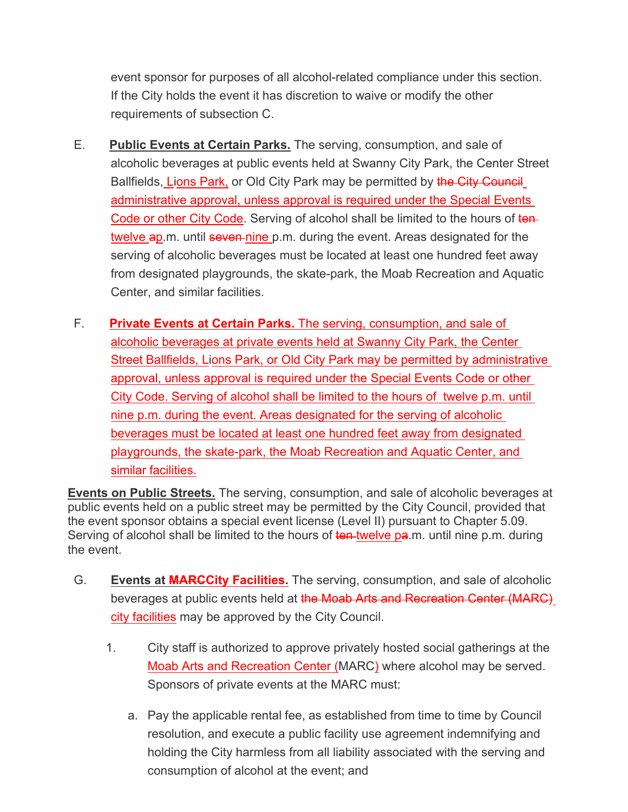event sponsor for purposes of all alcohol-related compliance under this section. If the City holds the event it has discretion to waive or modify the other requirements of subsection C.

- E. **Public Events at Certain Parks.** The serving, consumption, and sale of alcoholic beverages at public events held at Swanny City Park, the Center Street Ballfields, Lions Park, or Old City Park may be permitted by the City Council administrative approval, unless approval is required under the Special Events Code or other City Code. Serving of alcohol shall be limited to the hours of tentwelve ap.m. until seven nine p.m. during the event. Areas designated for the serving of alcoholic beverages must be located at least one hundred feet away from designated playgrounds, the skate-park, the Moab Recreation and Aquatic Center, and similar facilities.
- F. **Private Events at Certain Parks.** The serving, consumption, and sale of alcoholic beverages at private events held at Swanny City Park, the Center Street Ballfields, Lions Park, or Old City Park may be permitted by administrative approval, unless approval is required under the Special Events Code or other City Code. Serving of alcohol shall be limited to the hours of twelve p.m. until nine p.m. during the event. Areas designated for the serving of alcoholic beverages must be located at least one hundred feet away from designated playgrounds, the skate-park, the Moab Recreation and Aquatic Center, and similar facilities.

**Events on Public Streets.** The serving, consumption, and sale of alcoholic beverages at public events held on a public street may be permitted by the City Council, provided that the event sponsor obtains a special event license (Level II) pursuant to Chapter 5.09. Serving of alcohol shall be limited to the hours of ten-twelve pa.m. until nine p.m. during the event.

- G. **Events at MARCCity Facilities.** The serving, consumption, and sale of alcoholic beverages at public events held at the Moab Arts and Recreation Center (MARC) city facilities may be approved by the City Council.
	- 1. City staff is authorized to approve privately hosted social gatherings at the Moab Arts and Recreation Center (MARC) where alcohol may be served. Sponsors of private events at the MARC must:
		- a. Pay the applicable rental fee, as established from time to time by Council resolution, and execute a public facility use agreement indemnifying and holding the City harmless from all liability associated with the serving and consumption of alcohol at the event; and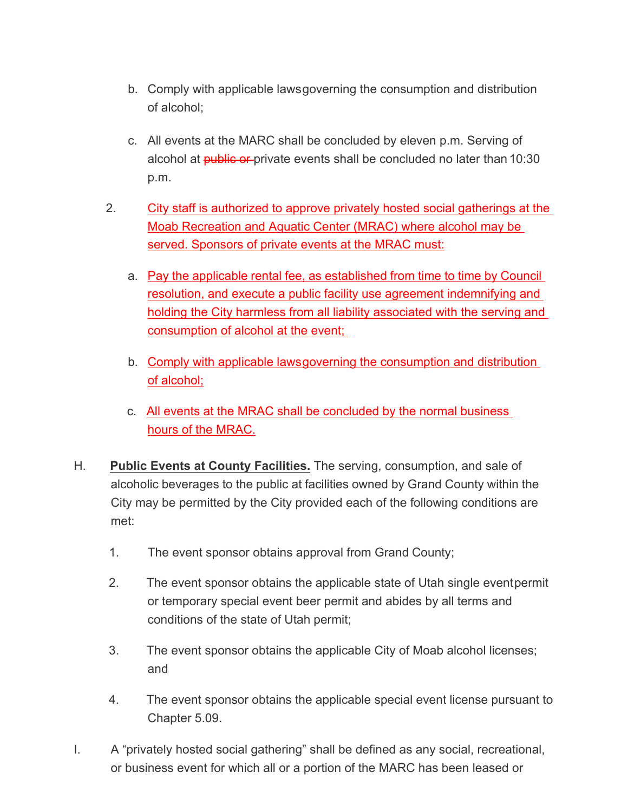- b. Comply with applicable lawsgoverning the consumption and distribution of alcohol;
- c. All events at the MARC shall be concluded by eleven p.m. Serving of alcohol at **public or** private events shall be concluded no later than 10:30 p.m.
- 2. City staff is authorized to approve privately hosted social gatherings at the Moab Recreation and Aquatic Center (MRAC) where alcohol may be served. Sponsors of private events at the MRAC must:
	- a. Pay the applicable rental fee, as established from time to time by Council resolution, and execute a public facility use agreement indemnifying and holding the City harmless from all liability associated with the serving and consumption of alcohol at the event;
	- b. Comply with applicable lawsgoverning the consumption and distribution of alcohol;
	- c. All events at the MRAC shall be concluded by the normal business hours of the MRAC.
- H. **Public Events at County Facilities.** The serving, consumption, and sale of alcoholic beverages to the public at facilities owned by Grand County within the City may be permitted by the City provided each of the following conditions are met:
	- 1. The event sponsor obtains approval from Grand County;
	- 2. The event sponsor obtains the applicable state of Utah single eventpermit or temporary special event beer permit and abides by all terms and conditions of the state of Utah permit;
	- 3. The event sponsor obtains the applicable City of Moab alcohol licenses; and
	- 4. The event sponsor obtains the applicable special event license pursuant to Chapter 5.09.
- I. A "privately hosted social gathering" shall be defined as any social, recreational, or business event for which all or a portion of the MARC has been leased or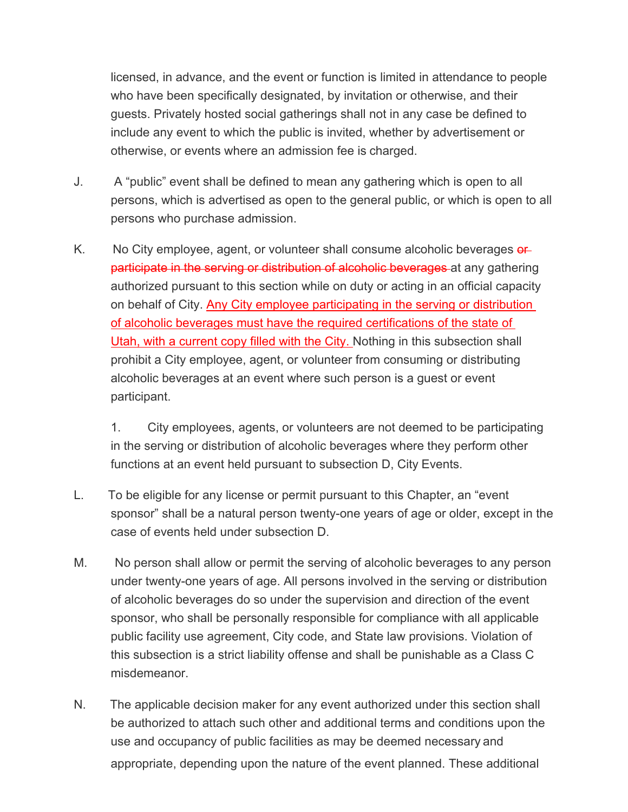licensed, in advance, and the event or function is limited in attendance to people who have been specifically designated, by invitation or otherwise, and their guests. Privately hosted social gatherings shall not in any case be defined to include any event to which the public is invited, whether by advertisement or otherwise, or events where an admission fee is charged.

- J. A "public" event shall be defined to mean any gathering which is open to all persons, which is advertised as open to the general public, or which is open to all persons who purchase admission.
- K. No City employee, agent, or volunteer shall consume alcoholic beverages or participate in the serving or distribution of alcoholic beverages at any gathering authorized pursuant to this section while on duty or acting in an official capacity on behalf of City. Any City employee participating in the serving or distribution of alcoholic beverages must have the required certifications of the state of Utah, with a current copy filled with the City. Nothing in this subsection shall prohibit a City employee, agent, or volunteer from consuming or distributing alcoholic beverages at an event where such person is a guest or event participant.

1. City employees, agents, or volunteers are not deemed to be participating in the serving or distribution of alcoholic beverages where they perform other functions at an event held pursuant to subsection D, City Events.

- L. To be eligible for any license or permit pursuant to this Chapter, an "event sponsor" shall be a natural person twenty-one years of age or older, except in the case of events held under subsection D.
- M. No person shall allow or permit the serving of alcoholic beverages to any person under twenty-one years of age. All persons involved in the serving or distribution of alcoholic beverages do so under the supervision and direction of the event sponsor, who shall be personally responsible for compliance with all applicable public facility use agreement, City code, and State law provisions. Violation of this subsection is a strict liability offense and shall be punishable as a Class C misdemeanor.
- N. The applicable decision maker for any event authorized under this section shall be authorized to attach such other and additional terms and conditions upon the use and occupancy of public facilities as may be deemed necessary and appropriate, depending upon the nature of the event planned. These additional